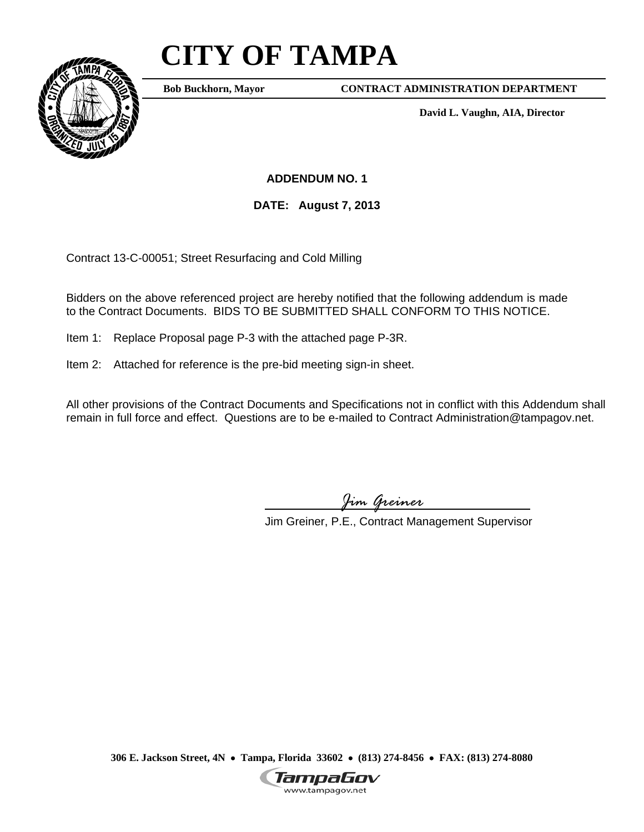## **CITY OF TAMPA**



**Bob Buckhorn, Mayor**

**CONTRACT ADMINISTRATION DEPARTMENT** 

**David L. Vaughn, AIA, Director** 

**ADDENDUM NO. 1** 

**DATE: August 7, 2013** 

Contract 13-C-00051; Street Resurfacing and Cold Milling

Bidders on the above referenced project are hereby notified that the following addendum is made to the Contract Documents. BIDS TO BE SUBMITTED SHALL CONFORM TO THIS NOTICE.

Item 1: Replace Proposal page P-3 with the attached page P-3R.

Item 2: Attached for reference is the pre-bid meeting sign-in sheet.

All other provisions of the Contract Documents and Specifications not in conflict with this Addendum shall remain in full force and effect. Questions are to be e-mailed to Contract Administration@tampagov.net.

*Jim Greiner* 

Jim Greiner, P.E., Contract Management Supervisor

**306 E. Jackson Street, 4N** • **Tampa, Florida 33602** • **(813) 274-8456** • **FAX: (813) 274-8080** 

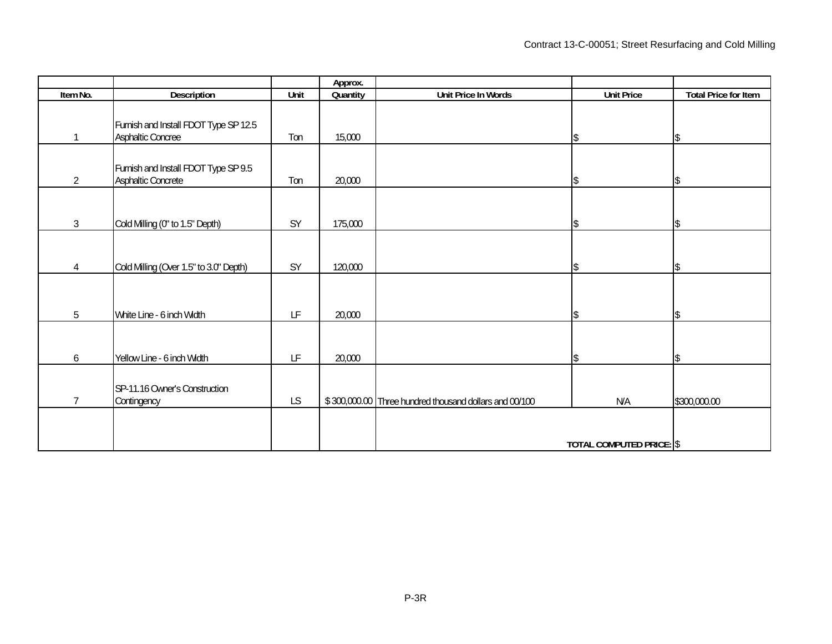|                 |                                                            |      | Approx.  |                                                        |                          |                             |
|-----------------|------------------------------------------------------------|------|----------|--------------------------------------------------------|--------------------------|-----------------------------|
| Item No.        | <b>Description</b>                                         | Unit | Quantity | Unit Price In Words                                    | <b>Unit Price</b>        | <b>Total Price for Item</b> |
| $\mathbf 1$     | Furnish and Install FDOT Type SP 12.5<br>Asphaltic Concree | Ton  | 15,000   |                                                        | \$                       | \$                          |
| $\overline{2}$  | Furnish and Install FDOT Type SP 9.5<br>Asphaltic Concrete | Ton  | 20,000   |                                                        | \$                       | $\mathcal{S}$               |
| $\mathfrak{Z}$  | Cold Milling (0" to 1.5" Depth)                            | SY   | 175,000  |                                                        | \$                       | \$                          |
| 4               | Cold Milling (Over 1.5" to 3.0" Depth)                     | SY   | 120,000  |                                                        | \$                       | \$                          |
| $5\phantom{.0}$ | White Line - 6 inch Width                                  | LF   | 20,000   |                                                        | \$                       | Ŝ.                          |
| 6               | Yellow Line - 6 inch Width                                 | LF   | 20,000   |                                                        | \$                       |                             |
| $\overline{7}$  | SP-11.16 Owner's Construction<br>Contingency               | LS   |          | \$300,000.00 Three hundred thousand dollars and 00/100 | N/A                      | \$300,000.00                |
|                 |                                                            |      |          |                                                        | TOTAL COMPUTED PRICE: \$ |                             |